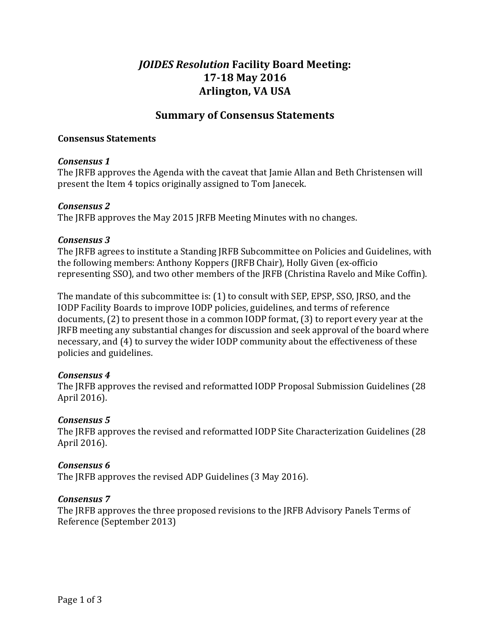# *JOIDES Resolution* Facility Board Meeting: **17-18 May 2016 Arlington, 
VA USA**

## **Summary of Consensus Statements**

#### **Consensus 
Statements**

#### *Consensus 
1*

The IRFB approves the Agenda with the caveat that Iamie Allan and Beth Christensen will present the Item 4 topics originally assigned to Tom Janecek.

#### *Consensus* 2

The JRFB approves the May 2015 JRFB Meeting Minutes with no changes.

#### *Consensus* 3

The JRFB agrees to institute a Standing JRFB Subcommittee on Policies and Guidelines, with the following members: Anthony Koppers (JRFB Chair), Holly Given (ex-officio representing SSO), and two other members of the JRFB (Christina Ravelo and Mike Coffin).

The mandate of this subcommittee is: (1) to consult with SEP, EPSP, SSO, JRSO, and the IODP Facility Boards to improve IODP policies, guidelines, and terms of reference documents,  $(2)$  to present those in a common IODP format,  $(3)$  to report every year at the JRFB meeting any substantial changes for discussion and seek approval of the board where necessary, and (4) to survey the wider IODP community about the effectiveness of these policies and guidelines.

## *Consensus 
4*

The JRFB approves the revised and reformatted IODP Proposal Submission Guidelines (28 April 2016).

## *Consensus 
5*

The JRFB approves the revised and reformatted IODP Site Characterization Guidelines (28) April 2016).

## *Consensus 
6*

The JRFB approves the revised ADP Guidelines (3 May 2016).

#### *Consensus 
7*

The JRFB approves the three proposed revisions to the JRFB Advisory Panels Terms of Reference (September 2013)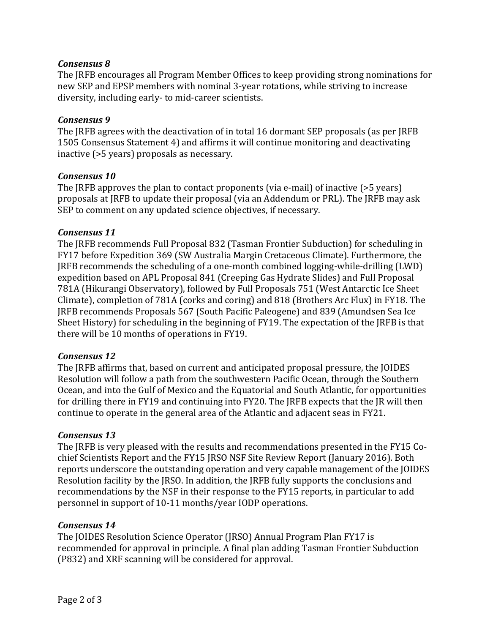## *Consensus 
8*

The JRFB encourages all Program Member Offices to keep providing strong nominations for new SEP and EPSP members with nominal 3-year rotations, while striving to increase diversity, including early- to mid-career scientists.

### *Consensus 
9*

The JRFB agrees with the deactivation of in total 16 dormant SEP proposals (as per JRFB 1505 Consensus Statement 4) and affirms it will continue monitoring and deactivating inactive (>5 years) proposals as necessary.

#### *Consensus* 10

The  $[RFB$  approves the plan to contact proponents (via e-mail) of inactive (>5 years) proposals at JRFB to update their proposal (via an Addendum or PRL). The JRFB may ask SEP to comment on any updated science objectives, if necessary.

#### Consensus 11

The JRFB recommends Full Proposal 832 (Tasman Frontier Subduction) for scheduling in FY17 before Expedition 369 (SW Australia Margin Cretaceous Climate). Furthermore, the JRFB recommends the scheduling of a one-month combined logging-while-drilling (LWD) expedition based on APL Proposal 841 (Creeping Gas Hydrate Slides) and Full Proposal 781A (Hikurangi Observatory), followed by Full Proposals 751 (West Antarctic Ice Sheet) Climate), completion of 781A (corks and coring) and 818 (Brothers Arc Flux) in FY18. The JRFB recommends Proposals 567 (South Pacific Paleogene) and 839 (Amundsen Sea Ice Sheet History) for scheduling in the beginning of FY19. The expectation of the JRFB is that there will be 10 months of operations in FY19.

#### Consensus 12

The JRFB affirms that, based on current and anticipated proposal pressure, the JOIDES Resolution will follow a path from the southwestern Pacific Ocean, through the Southern Ocean, and into the Gulf of Mexico and the Equatorial and South Atlantic, for opportunities for drilling there in FY19 and continuing into FY20. The JRFB expects that the JR will then continue to operate in the general area of the Atlantic and adjacent seas in FY21.

## *Consensus 
13*

The JRFB is very pleased with the results and recommendations presented in the FY15 Cochief Scientists Report and the FY15 JRSO NSF Site Review Report (January 2016). Both reports underscore the outstanding operation and very capable management of the JOIDES Resolution facility by the JRSO. In addition, the JRFB fully supports the conclusions and recommendations by the NSF in their response to the FY15 reports, in particular to add personnel in support of 10-11 months/year IODP operations.

## *Consensus 
14*

The JOIDES Resolution Science Operator (JRSO) Annual Program Plan FY17 is recommended for approval in principle. A final plan adding Tasman Frontier Subduction (P832) and XRF scanning will be considered for approval.